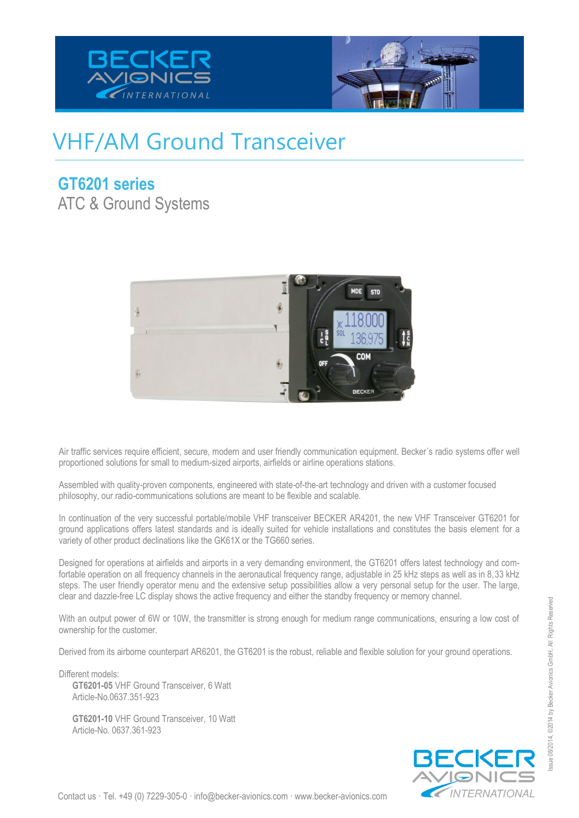



## VHF/AM Ground Transceiver

#### **GT6201 series**

ATC & Ground Systems



Air traffic services require efficient, secure, modern and user friendly communication equipment. Becker´s radio systems offer well proportioned solutions for small to medium-sized airports, airfields or airline operations stations.

Assembled with quality-proven components, engineered with state-of-the-art technology and driven with a customer focused philosophy, our radio-communications solutions are meant to be flexible and scalable.

In continuation of the very successful portable/mobile VHF transceiver BECKER AR4201, the new VHF Transceiver GT6201 for ground applications offers latest standards and is ideally suited for vehicle installations and constitutes the basis element for a variety of other product declinations like the GK61X or the TG660 series.

Designed for operations at airfields and airports in a very demanding environment, the GT6201 offers latest technology and comfortable operation on all frequency channels in the aeronautical frequency range, adjustable in 25 kHz steps as well as in 8,33 kHz steps. The user friendly operator menu and the extensive setup possibilities allow a very personal setup for the user. The large, clear and dazzle-free LC display shows the active frequency and either the standby frequency or memory channel.

With an output power of 6W or 10W, the transmitter is strong enough for medium range communications, ensuring a low cost of ownership for the customer.

Derived from its airborne counterpart AR6201, the GT6201 is the robust, reliable and flexible solution for your ground operations.

Different models: **GT6201-05** VHF Ground Transceiver, 6 Watt Article-No.0637.351-923

**GT6201-10** VHF Ground Transceiver, 10 Watt Article-No. 0637.361-923